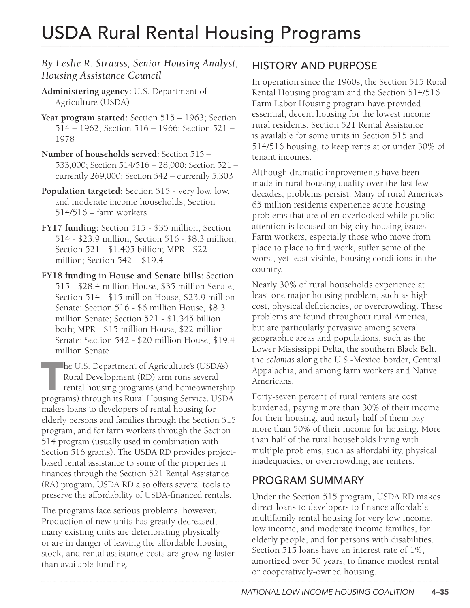# USDA Rural Rental Housing Programs

#### *By Leslie R. Strauss, Senior Housing Analyst, Housing Assistance Council*

- **Administering agency:** U.S. Department of Agriculture (USDA)
- **Year program started:** Section 515 1963; Section 514 – 1962; Section 516 – 1966; Section 521 – 1978
- **Number of households served:** Section 515 533,000; Section 514/516 – 28,000; Section 521 – currently 269,000; Section 542 – currently 5,303
- **Population targeted:** Section 515 very low, low, and moderate income households; Section 514/516 – farm workers
- **FY17 funding:** Section 515 \$35 million; Section 514 - \$23.9 million; Section 516 - \$8.3 million; Section 521 - \$1.405 billion; MPR - \$22 million; Section 542 – \$19.4
- **FY18 funding in House and Senate bills:** Section 515 - \$28.4 million House, \$35 million Senate; Section 514 - \$15 million House, \$23.9 million Senate; Section 516 - \$6 million House, \$8.3 million Senate; Section 521 - \$1.345 billion both; MPR - \$15 million House, \$22 million Senate; Section 542 - \$20 million House, \$19.4 million Senate

 $\Box$  he U.S. Department of Agriculture's (USDA's) Rural Development (RD) arm runs several rental housing programs (and homeownership programs) through its Rural Housing Service. USDA makes loans to developers of rental housing for elderly persons and families through the Section 515 program, and for farm workers through the Section 514 program (usually used in combination with Section 516 grants). The USDA RD provides projectbased rental assistance to some of the properties it finances through the Section 521 Rental Assistance (RA) program. USDA RD also offers several tools to preserve the affordability of USDA-financed rentals.

The programs face serious problems, however. Production of new units has greatly decreased, many existing units are deteriorating physically or are in danger of leaving the affordable housing stock, and rental assistance costs are growing faster than available funding.

#### HISTORY AND PURPOSE

In operation since the 1960s, the Section 515 Rural Rental Housing program and the Section 514/516 Farm Labor Housing program have provided essential, decent housing for the lowest income rural residents. Section 521 Rental Assistance is available for some units in Section 515 and 514/516 housing, to keep rents at or under 30% of tenant incomes.

Although dramatic improvements have been made in rural housing quality over the last few decades, problems persist. Many of rural America's 65 million residents experience acute housing problems that are often overlooked while public attention is focused on big-city housing issues. Farm workers, especially those who move from place to place to find work, suffer some of the worst, yet least visible, housing conditions in the country.

Nearly 30% of rural households experience at least one major housing problem, such as high cost, physical deficiencies, or overcrowding. These problems are found throughout rural America, but are particularly pervasive among several geographic areas and populations, such as the Lower Mississippi Delta, the southern Black Belt, the *colonias* along the U.S.-Mexico border, Central Appalachia, and among farm workers and Native Americans.

Forty-seven percent of rural renters are cost burdened, paying more than 30% of their income for their housing, and nearly half of them pay more than 50% of their income for housing. More than half of the rural households living with multiple problems, such as affordability, physical inadequacies, or overcrowding, are renters.

#### PROGRAM SUMMARY

Under the Section 515 program, USDA RD makes direct loans to developers to finance affordable multifamily rental housing for very low income, low income, and moderate income families, for elderly people, and for persons with disabilities. Section 515 loans have an interest rate of 1%, amortized over 50 years, to finance modest rental or cooperatively-owned housing.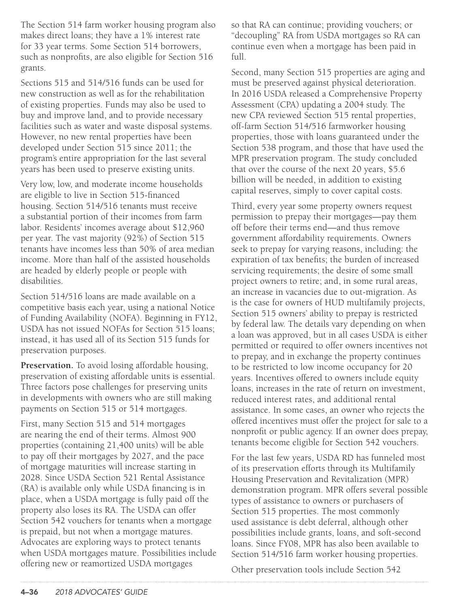The Section 514 farm worker housing program also makes direct loans; they have a 1% interest rate for 33 year terms. Some Section 514 borrowers, such as nonprofits, are also eligible for Section 516 grants.

Sections 515 and 514/516 funds can be used for new construction as well as for the rehabilitation of existing properties. Funds may also be used to buy and improve land, and to provide necessary facilities such as water and waste disposal systems. However, no new rental properties have been developed under Section 515 since 2011; the program's entire appropriation for the last several years has been used to preserve existing units.

Very low, low, and moderate income households are eligible to live in Section 515-financed housing. Section 514/516 tenants must receive a substantial portion of their incomes from farm labor. Residents' incomes average about \$12,960 per year. The vast majority (92%) of Section 515 tenants have incomes less than 50% of area median income. More than half of the assisted households are headed by elderly people or people with disabilities.

Section 514/516 loans are made available on a competitive basis each year, using a national Notice of Funding Availability (NOFA). Beginning in FY12, USDA has not issued NOFAs for Section 515 loans; instead, it has used all of its Section 515 funds for preservation purposes.

**Preservation.** To avoid losing affordable housing, preservation of existing affordable units is essential. Three factors pose challenges for preserving units in developments with owners who are still making payments on Section 515 or 514 mortgages.

First, many Section 515 and 514 mortgages are nearing the end of their terms. Almost 900 properties (containing 21,400 units) will be able to pay off their mortgages by 2027, and the pace of mortgage maturities will increase starting in 2028. Since USDA Section 521 Rental Assistance (RA) is available only while USDA financing is in place, when a USDA mortgage is fully paid off the property also loses its RA. The USDA can offer Section 542 vouchers for tenants when a mortgage is prepaid, but not when a mortgage matures. Advocates are exploring ways to protect tenants when USDA mortgages mature. Possibilities include offering new or reamortized USDA mortgages

so that RA can continue; providing vouchers; or "decoupling" RA from USDA mortgages so RA can continue even when a mortgage has been paid in full.

Second, many Section 515 properties are aging and must be preserved against physical deterioration. In 2016 USDA released a Comprehensive Property Assessment (CPA) updating a 2004 study. The new CPA reviewed Section 515 rental properties, off-farm Section 514/516 farmworker housing properties, those with loans guaranteed under the Section 538 program, and those that have used the MPR preservation program. The study concluded that over the course of the next 20 years, \$5.6 billion will be needed, in addition to existing capital reserves, simply to cover capital costs.

Third, every year some property owners request permission to prepay their mortgages—pay them off before their terms end—and thus remove government affordability requirements. Owners seek to prepay for varying reasons, including: the expiration of tax benefits; the burden of increased servicing requirements; the desire of some small project owners to retire; and, in some rural areas, an increase in vacancies due to out-migration. As is the case for owners of HUD multifamily projects, Section 515 owners' ability to prepay is restricted by federal law. The details vary depending on when a loan was approved, but in all cases USDA is either permitted or required to offer owners incentives not to prepay, and in exchange the property continues to be restricted to low income occupancy for 20 years. Incentives offered to owners include equity loans, increases in the rate of return on investment, reduced interest rates, and additional rental assistance. In some cases, an owner who rejects the offered incentives must offer the project for sale to a nonprofit or public agency. If an owner does prepay, tenants become eligible for Section 542 vouchers.

For the last few years, USDA RD has funneled most of its preservation efforts through its Multifamily Housing Preservation and Revitalization (MPR) demonstration program. MPR offers several possible types of assistance to owners or purchasers of Section 515 properties. The most commonly used assistance is debt deferral, although other possibilities include grants, loans, and soft-second loans. Since FY08, MPR has also been available to Section 514/516 farm worker housing properties.

Other preservation tools include Section 542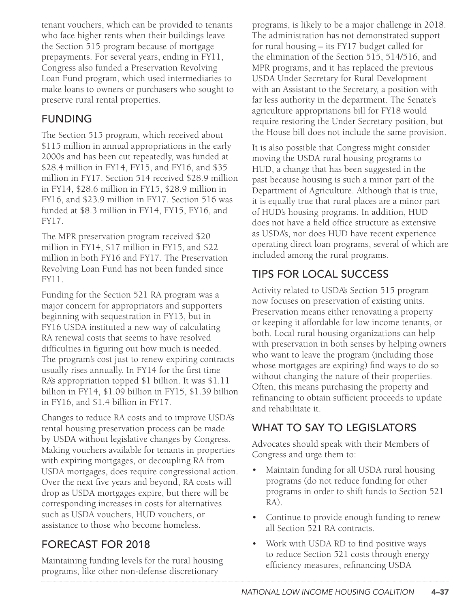tenant vouchers, which can be provided to tenants who face higher rents when their buildings leave the Section 515 program because of mortgage prepayments. For several years, ending in FY11, Congress also funded a Preservation Revolving Loan Fund program, which used intermediaries to make loans to owners or purchasers who sought to preserve rural rental properties.

### FUNDING

The Section 515 program, which received about \$115 million in annual appropriations in the early 2000s and has been cut repeatedly, was funded at \$28.4 million in FY14, FY15, and FY16, and \$35 million in FY17. Section 514 received \$28.9 million in FY14, \$28.6 million in FY15, \$28.9 million in FY16, and \$23.9 million in FY17. Section 516 was funded at \$8.3 million in FY14, FY15, FY16, and FY17.

The MPR preservation program received \$20 million in FY14, \$17 million in FY15, and \$22 million in both FY16 and FY17. The Preservation Revolving Loan Fund has not been funded since FY11.

Funding for the Section 521 RA program was a major concern for appropriators and supporters beginning with sequestration in FY13, but in FY16 USDA instituted a new way of calculating RA renewal costs that seems to have resolved difficulties in figuring out how much is needed. The program's cost just to renew expiring contracts usually rises annually. In FY14 for the first time RA's appropriation topped \$1 billion. It was \$1.11 billion in FY14, \$1.09 billion in FY15, \$1.39 billion in FY16, and \$1.4 billion in FY17.

Changes to reduce RA costs and to improve USDA's rental housing preservation process can be made by USDA without legislative changes by Congress. Making vouchers available for tenants in properties with expiring mortgages, or decoupling RA from USDA mortgages, does require congressional action. Over the next five years and beyond, RA costs will drop as USDA mortgages expire, but there will be corresponding increases in costs for alternatives such as USDA vouchers, HUD vouchers, or assistance to those who become homeless.

# FORECAST FOR 2018

Maintaining funding levels for the rural housing programs, like other non-defense discretionary

programs, is likely to be a major challenge in 2018. The administration has not demonstrated support for rural housing – its FY17 budget called for the elimination of the Section 515, 514/516, and MPR programs, and it has replaced the previous USDA Under Secretary for Rural Development with an Assistant to the Secretary, a position with far less authority in the department. The Senate's agriculture appropriations bill for FY18 would require restoring the Under Secretary position, but the House bill does not include the same provision.

It is also possible that Congress might consider moving the USDA rural housing programs to HUD, a change that has been suggested in the past because housing is such a minor part of the Department of Agriculture. Although that is true, it is equally true that rural places are a minor part of HUD's housing programs. In addition, HUD does not have a field office structure as extensive as USDA's, nor does HUD have recent experience operating direct loan programs, several of which are included among the rural programs.

# TIPS FOR LOCAL SUCCESS

Activity related to USDA's Section 515 program now focuses on preservation of existing units. Preservation means either renovating a property or keeping it affordable for low income tenants, or both. Local rural housing organizations can help with preservation in both senses by helping owners who want to leave the program (including those whose mortgages are expiring) find ways to do so without changing the nature of their properties. Often, this means purchasing the property and refinancing to obtain sufficient proceeds to update and rehabilitate it.

# WHAT TO SAY TO LEGISLATORS

Advocates should speak with their Members of Congress and urge them to:

- Maintain funding for all USDA rural housing programs (do not reduce funding for other programs in order to shift funds to Section 521 RA).
- Continue to provide enough funding to renew all Section 521 RA contracts.
- Work with USDA RD to find positive ways to reduce Section 521 costs through energy efficiency measures, refinancing USDA